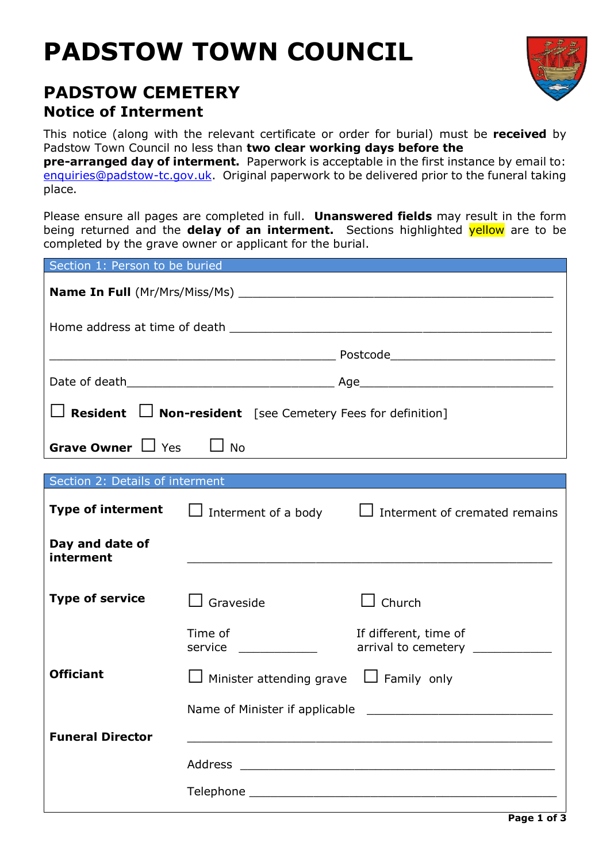# **PADSTOW TOWN COUNCIL**



# **PADSTOW CEMETERY Notice of Interment**

This notice (along with the relevant certificate or order for burial) must be **received** by Padstow Town Council no less than **two clear working days before the** 

**pre-arranged day of interment.** Paperwork is acceptable in the first instance by email to: [enquiries@padstow-tc.gov.uk.](mailto:enquiries@padstow-tc.gov.uk) Original paperwork to be delivered prior to the funeral taking place.

Please ensure all pages are completed in full. **Unanswered fields** may result in the form being returned and the **delay of an interment.** Sections highlighted yellow are to be completed by the grave owner or applicant for the burial.

| Section 1: Person to be buried                                         |                                                                                                       |                                                                                                |  |  |  |  |  |
|------------------------------------------------------------------------|-------------------------------------------------------------------------------------------------------|------------------------------------------------------------------------------------------------|--|--|--|--|--|
|                                                                        |                                                                                                       |                                                                                                |  |  |  |  |  |
|                                                                        |                                                                                                       |                                                                                                |  |  |  |  |  |
|                                                                        |                                                                                                       |                                                                                                |  |  |  |  |  |
|                                                                        |                                                                                                       |                                                                                                |  |  |  |  |  |
| $\Box$ Resident $\Box$ Non-resident [see Cemetery Fees for definition] |                                                                                                       |                                                                                                |  |  |  |  |  |
| Grave Owner $\Box$ Yes<br>$\Box$ No                                    |                                                                                                       |                                                                                                |  |  |  |  |  |
|                                                                        |                                                                                                       | <b>Section 2: Details of interment Section 2: Details of interment</b>                         |  |  |  |  |  |
|                                                                        |                                                                                                       |                                                                                                |  |  |  |  |  |
| <b>Type of interment</b>                                               |                                                                                                       | Interment of a body $\Box$ Interment of cremated remains                                       |  |  |  |  |  |
| Day and date of<br>interment                                           |                                                                                                       |                                                                                                |  |  |  |  |  |
| <b>Type of service</b>                                                 | Graveside                                                                                             | $\Box$ Church                                                                                  |  |  |  |  |  |
|                                                                        | Time of<br>service                                                                                    | If different, time of<br>arrival to cemetery <b>with the control of the set of the control</b> |  |  |  |  |  |
| <b>Officiant</b>                                                       | Minister attending grave $\Box$ Family only                                                           |                                                                                                |  |  |  |  |  |
|                                                                        | Name of Minister if applicable<br><u> 1989 - Johann John Stein, market fransk politiker (d. 1989)</u> |                                                                                                |  |  |  |  |  |
| <b>Funeral Director</b>                                                |                                                                                                       |                                                                                                |  |  |  |  |  |
|                                                                        |                                                                                                       |                                                                                                |  |  |  |  |  |
|                                                                        |                                                                                                       |                                                                                                |  |  |  |  |  |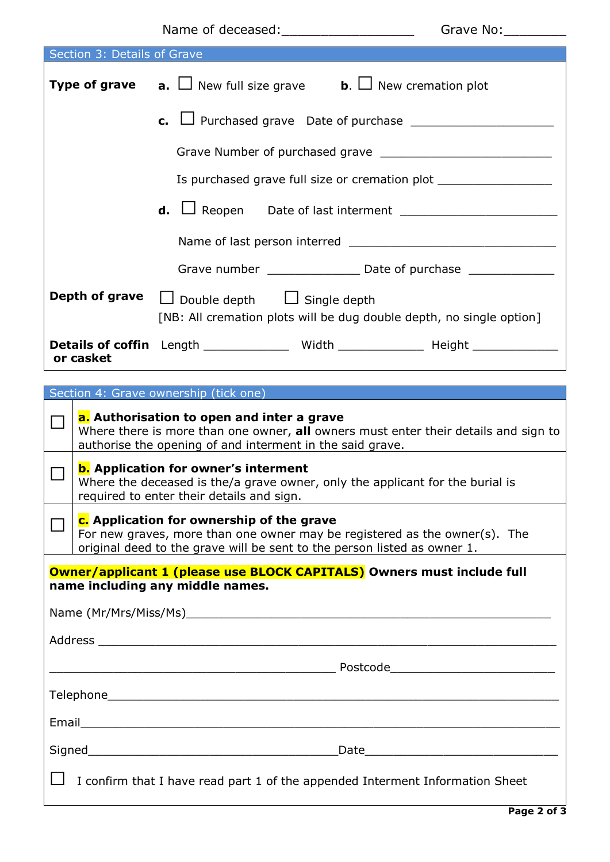|                                                                        |                                                                                                                                                                                                     | Name of deceased: ________________________ | Grave No: |  |  |  |
|------------------------------------------------------------------------|-----------------------------------------------------------------------------------------------------------------------------------------------------------------------------------------------------|--------------------------------------------|-----------|--|--|--|
| Section 3: Details of Grave                                            |                                                                                                                                                                                                     |                                            |           |  |  |  |
|                                                                        | <b>Type of grave a.</b> $\Box$ New full size grave <b>b.</b> $\Box$ New cremation plot                                                                                                              |                                            |           |  |  |  |
|                                                                        | <b>c.</b> $\Box$ Purchased grave Date of purchase $\Box$                                                                                                                                            |                                            |           |  |  |  |
|                                                                        |                                                                                                                                                                                                     |                                            |           |  |  |  |
|                                                                        | Is purchased grave full size or cremation plot _________________________________                                                                                                                    |                                            |           |  |  |  |
|                                                                        | <b>d.</b> $\Box$ Reopen Date of last interment $\Box$                                                                                                                                               |                                            |           |  |  |  |
|                                                                        |                                                                                                                                                                                                     |                                            |           |  |  |  |
|                                                                        |                                                                                                                                                                                                     |                                            |           |  |  |  |
|                                                                        | Depth of grave<br>$\Box$ Double depth $\Box$ Single depth<br>[NB: All cremation plots will be dug double depth, no single option]                                                                   |                                            |           |  |  |  |
|                                                                        | Details of coffin Length _____________ Width _____________ Height _____________<br>or casket                                                                                                        |                                            |           |  |  |  |
|                                                                        |                                                                                                                                                                                                     |                                            |           |  |  |  |
|                                                                        |                                                                                                                                                                                                     | Section 4: Grave ownership (tick one)      |           |  |  |  |
| $\mathcal{L}_{\mathcal{A}}$                                            | a. Authorisation to open and inter a grave<br>Where there is more than one owner, all owners must enter their details and sign to<br>authorise the opening of and interment in the said grave.      |                                            |           |  |  |  |
|                                                                        | <b>b.</b> Application for owner's interment<br>Where the deceased is the/a grave owner, only the applicant for the burial is<br>required to enter their details and sign.                           |                                            |           |  |  |  |
|                                                                        | c. Application for ownership of the grave<br>For new graves, more than one owner may be registered as the owner(s). The<br>original deed to the grave will be sent to the person listed as owner 1. |                                            |           |  |  |  |
| Owner/applicant 1 (please use BLOCK CAPITALS) Owners must include full |                                                                                                                                                                                                     |                                            |           |  |  |  |

**name including any middle names.** 

| <u> Andreas Andreas Andreas Andreas Andreas Andreas Andreas Andreas Andreas Andreas Andreas Andreas Andreas Andre</u> | Postcode_________________________________ |  |  |
|-----------------------------------------------------------------------------------------------------------------------|-------------------------------------------|--|--|
|                                                                                                                       |                                           |  |  |
|                                                                                                                       |                                           |  |  |
|                                                                                                                       |                                           |  |  |
| $\Box$ I confirm that I have read part 1 of the appended Interment Information Sheet                                  |                                           |  |  |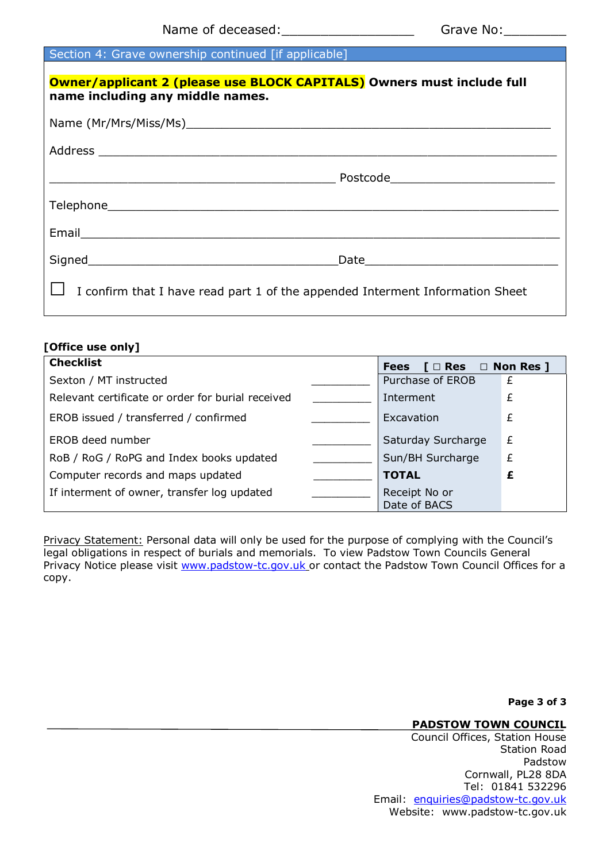#### Section 4: Grave ownership continued [if applicable]

| Owner/applicant 2 (please use BLOCK CAPITALS) Owners must include full<br>name including any middle names.     |  |  |  |  |
|----------------------------------------------------------------------------------------------------------------|--|--|--|--|
|                                                                                                                |  |  |  |  |
|                                                                                                                |  |  |  |  |
|                                                                                                                |  |  |  |  |
|                                                                                                                |  |  |  |  |
| Email 2008 - 2008 - 2010 - 2010 - 2010 - 2011 - 2012 - 2012 - 2012 - 2013 - 2014 - 2014 - 2014 - 2014 - 2014 - |  |  |  |  |
|                                                                                                                |  |  |  |  |
| I confirm that I have read part 1 of the appended Interment Information Sheet                                  |  |  |  |  |

#### **[Office use only]**

| <b>Checklist</b>                                  | $[ \Box$ Res $\Box$ Non Res ]<br><b>Fees</b> |                               |   |
|---------------------------------------------------|----------------------------------------------|-------------------------------|---|
| Sexton / MT instructed                            |                                              | Purchase of EROB              | £ |
| Relevant certificate or order for burial received |                                              | Interment                     | £ |
| EROB issued / transferred / confirmed             |                                              | Excavation                    | £ |
| EROB deed number                                  |                                              | Saturday Surcharge            | £ |
| RoB / RoG / RoPG and Index books updated          |                                              | Sun/BH Surcharge              | £ |
| Computer records and maps updated                 |                                              | <b>TOTAL</b>                  | £ |
| If interment of owner, transfer log updated       |                                              | Receipt No or<br>Date of BACS |   |

Privacy Statement: Personal data will only be used for the purpose of complying with the Council's legal obligations in respect of burials and memorials. To view Padstow Town Councils General Privacy Notice please visit [www.padstow-tc.gov.uk](http://www.padstow-tc.gov.uk/) or contact the Padstow Town Council Offices for a copy.

**Page 3 of 3**

#### **PADSTOW TOWN COUNCIL**

Council Offices, Station House Station Road Padstow Cornwall, PL28 8DA Tel: 01841 532296 Email: [enquiries@padstow-tc.gov.uk](mailto:theclerk@padstow-tc.gov.uk) Website: www.padstow-tc.gov.uk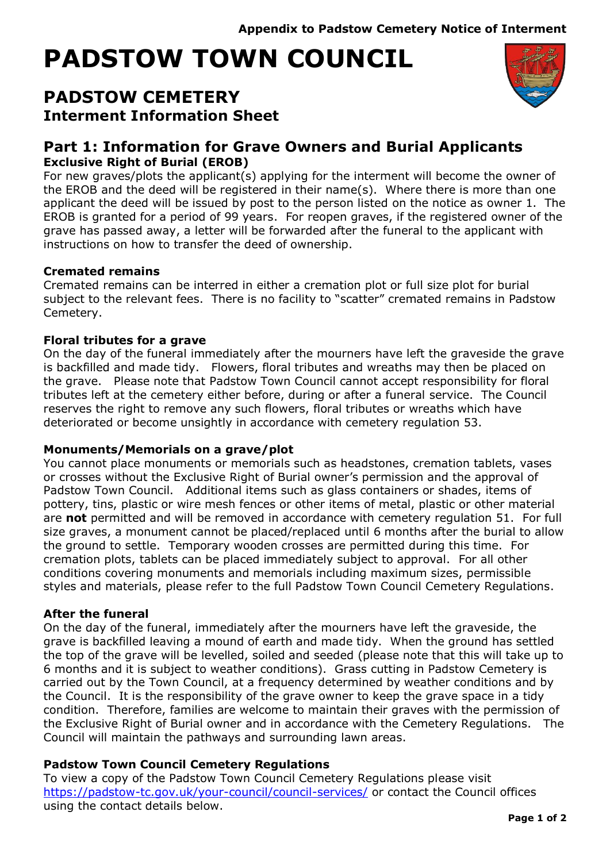# **PADSTOW TOWN COUNCIL**

## **PADSTOW CEMETERY Interment Information Sheet**



## **Part 1: Information for Grave Owners and Burial Applicants Exclusive Right of Burial (EROB)**

For new graves/plots the applicant(s) applying for the interment will become the owner of the EROB and the deed will be registered in their name(s). Where there is more than one applicant the deed will be issued by post to the person listed on the notice as owner 1. The EROB is granted for a period of 99 years. For reopen graves, if the registered owner of the grave has passed away, a letter will be forwarded after the funeral to the applicant with instructions on how to transfer the deed of ownership.

## **Cremated remains**

Cremated remains can be interred in either a cremation plot or full size plot for burial subject to the relevant fees. There is no facility to "scatter" cremated remains in Padstow Cemetery.

## **Floral tributes for a grave**

On the day of the funeral immediately after the mourners have left the graveside the grave is backfilled and made tidy. Flowers, floral tributes and wreaths may then be placed on the grave. Please note that Padstow Town Council cannot accept responsibility for floral tributes left at the cemetery either before, during or after a funeral service. The Council reserves the right to remove any such flowers, floral tributes or wreaths which have deteriorated or become unsightly in accordance with cemetery regulation 53.

## **Monuments/Memorials on a grave/plot**

You cannot place monuments or memorials such as headstones, cremation tablets, vases or crosses without the Exclusive Right of Burial owner's permission and the approval of Padstow Town Council. Additional items such as glass containers or shades, items of pottery, tins, plastic or wire mesh fences or other items of metal, plastic or other material are **not** permitted and will be removed in accordance with cemetery regulation 51. For full size graves, a monument cannot be placed/replaced until 6 months after the burial to allow the ground to settle. Temporary wooden crosses are permitted during this time. For cremation plots, tablets can be placed immediately subject to approval. For all other conditions covering monuments and memorials including maximum sizes, permissible styles and materials, please refer to the full Padstow Town Council Cemetery Regulations.

## **After the funeral**

On the day of the funeral, immediately after the mourners have left the graveside, the grave is backfilled leaving a mound of earth and made tidy. When the ground has settled the top of the grave will be levelled, soiled and seeded (please note that this will take up to 6 months and it is subject to weather conditions). Grass cutting in Padstow Cemetery is carried out by the Town Council, at a frequency determined by weather conditions and by the Council. It is the responsibility of the grave owner to keep the grave space in a tidy condition. Therefore, families are welcome to maintain their graves with the permission of the Exclusive Right of Burial owner and in accordance with the Cemetery Regulations. The Council will maintain the pathways and surrounding lawn areas.

## **Padstow Town Council Cemetery Regulations**

To view a copy of the Padstow Town Council Cemetery Regulations please visit <https://padstow-tc.gov.uk/your-council/council-services/> or contact the Council offices using the contact details below.